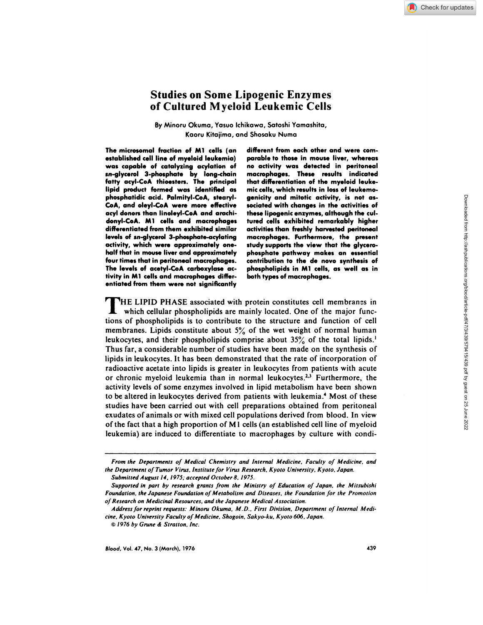# **Studies on Some Lipogenic Enzymes of Cultured Myeloid Leukemic Cells**

By Minoru Okuma, Yasuo Ichikawa, Satoshi Yamashita, Kaoru Kitajima, and Shosaku Numa

**The microsomal fraction of Ml cells (an established cell line of myeloid leukemia) was capable** of catalyzing acylation of **sn-glycerol 3-phosphate by long-chain fatty acyl-CoA thioesters. The principal lipid product formed was identified as phosphatidic acid. Palmityl-CoA, stearyl-CoA, and oleyl-CoA were more effective acyl donors than Iinoleyl-CoA and arachidonyl-CoA. Ml cells and macrophages differentiated from them exhibited similar levels of sn-glycerol** 3-phosphate-acylating activity, which **were approximately one half that** in **mouse liver and approximately four times that in peritoneal macrophages. The levels of acetyl-CoA carboxylase activity in Ml cells and macrophages differentiated from them were not significantly**

**different from each other and were com parable to those in mouse liver, whereas no** activity **was detected in peritoneal macrophages. These results indicated that differentiation of the myeloid leuke**mic cells, which **results** in **loss of leukemogenicity and mitotic activity, is not as sociated with changes in the activities of these lipogenic enzymes, although the cultured cells exhibited remarkably higher activities than freshly** harvested peritoneal **macrophages.** Furthermore, **the present study supports the view that the glycerophosphate pathway makes an essential contribution to the de novo synthesis of** phospholipids in **Ml cells, as well as in** both types **of macrophages.**

**HE LIPID PHASE associated with protein constitutes cell membranes in** which cellular phospholipids are mainly located. One of the major functions of phospholipids is to contribute to the structure and function of cell membranes. Lipids constitute about *5%* of the wet weight of normal human leukocytes, and their phospholipids comprise about *35%* of the total lipids.' Thus far, a considerable number of studies have been made on the synthesis of lipids in leukocytes. It has been demonstrated that the rate of incorporation of radioactive acetate into lipids is greater in leukocytes from patients with acute or chronic myeloid leukemia than in normal leukocytes.<sup>2,3</sup> Furthermore, the activity levels of some enzymes involved in lipid metabolism have been shown to be altered in leukocytes derived from patients with leukemia.4 Most of these studies have been carried out with cell preparations obtained from peritoneal exudates ofanimals or with mixed cell populations derived from blood. In view of the fact that a high proportion of M1 cells (an established cell line of myeloid leukemia) are induced to differentiate to macrophages by culture with condi-

From the Departments of Medical Chemistry and Internal Medicine, Faculty of Medicine, and the Department of Tumor Virus, Institute for Virus Research, Kyoto University, Kyoto, Japan.

Submitted August 14, 1975; accepted October 8, 1975.

Supported in part by research grants from the Ministry of Education of Japan, the Mitsubishi Foundation, the Japanese Foundation of Metabolism and Diseases, the Foundation for the Promotion of Research on Medicinal Resources, and the Japanese Medical Association.

Address for reprint requests: Minoru Okuma. M.D., First Division. Department of Internal Medicine. Kyoto University Faculty of Medicine. Shogoin. Sakyo-ku. Kyoto 606. Japan.

<sup>©</sup> 1976 by Grune & Stratton, Inc.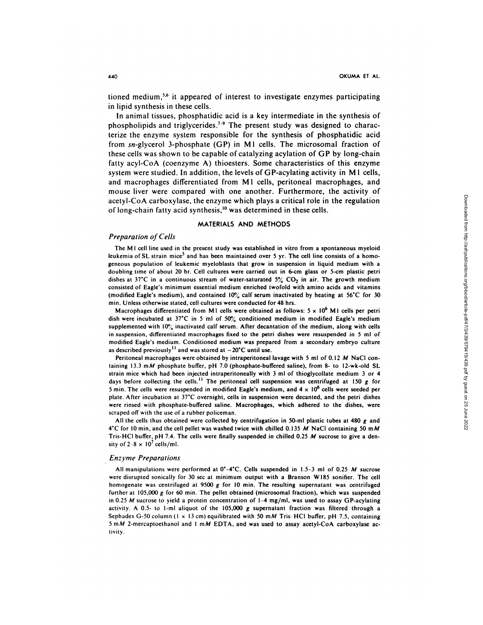tioned medium,5'6 it appeared of interest to investigate enzymes participating in lipid synthesis in these cells.

In animal tissues, phosphatidic acid is a key intermediate in the synthesis of phospholipids and triglycerides.<sup>7-9</sup> The present study was designed to characterize the enzyme system responsible for the synthesis of phosphatidic acid from  $sn$ -glycerol 3-phosphate (GP) in M1 cells. The microsomal fraction of these cells was shown to be capable of catalyzing acylation of GP by long-chain fatty acyl-CoA (coenzyme A) thioesters. Some characteristics of this enzyme system were studied. In addition, the levels of GP-acylating activity in M1 cells, and macrophages differentiated from M1 cells, peritoneal macrophages, and mouse liver were compared with one another. Furthermore, the activity of **acetyl-CoA** carboxylase, the enzyme which plays a critical role in the regulation of long-chain fatty acid synthesis,<sup>10</sup> was determined in these cells.

### MATERIALS AND METHODS

### Preparation **of** Cells

The M I cell line used in the present study was established in vitro from a spontaneous myeloid leukemia of SL strain mice<sup>5</sup> and has been maintained over 5 yr. The cell line consists of a homogeneous population of leukemic myeloblasts that grow in suspension in liquid medium with a doubling time of about 20 hr. Cell cultures were carried out in 6-cm glass or 5-cm plastic petri dishes at 37<sup>°</sup>C in a continuous stream of water-saturated 5<sup>o</sup><sub>c</sub> CO<sub>2</sub> in air. The growth medium consisted of Eagle's minimum essential medium enriched twofold with amino acids and vitamins (modified Eagle's medium), and contained  $10\%$  calf serum inactivated by heating at 56°C for 30 min. Unless otherwise stated, cell cultures were conducted for 48 hrs.

Macrophages differentiated from M1 cells were obtained as follows:  $5 \times 10^6$  M1 cells per petri dish were incubated at 37°C in 5 ml of 50% conditioned medium in modified Eagle's medium supplemented with  $10\%$  inactivated calf serum. After decantation of the medium, along with cells in suspension, differentiated macrophages fixed to the petri dishes were resuspended in 5 mlof modified Eagle's medium. Conditioned medium was prepared from a secondary embryo culture as described previously<sup>11</sup> and was stored at  $-20^{\circ}$ C until use.

Peritoneal macrophages were obtained by intraperitoneal lavage with 5 ml of 0.12 **<sup>M</sup>** NaCI contaming 13.3 mM phosphate buffer, pH 7.0 (phosphate-buffered saline), from 8- to 12-wk-old SL strain mice which had been injected intraperitoneally with 3 ml of thioglycollate medium 3 or 4 days before collecting the cells.<sup>11</sup> The peritoneal cell suspension was centrifuged at 150 *g* for 5 min. The cells were resuspended in modified Eagle's medium, and  $4 \times 10^6$  cells were seeded per plate. After incubation at 37'C overnight, cells in suspension were decanted, and the petri dishes were rinsed with phosphate-buffered saline. Macrophages, which adhered to the dishes, were scraped off with the use of a rubber policeman.

All the cells thus obtained were collected by centrifugation in 50-mI plastic tubes at 480 *g* and 4°C for 10 min, and the cell pellet was washed twice with chilled 0.135 *M* NaCl containing 50 m*M* Tris-HCl buffer, pH 7.4. The cells were finally suspended in chilled 0.25  $M$  sucrose to give a density of  $2-8 \times 10^7$  cells/ml.

### *Enzyme* Preparations

All manipulations were performed at 0'-4'C. Cells suspended in *1.5-3* ml of 0.25 *M* sucrose were disrupted sonically for 30 sec at minimum output with a Branson Wl85 sonifier. The cell homogenate was centrifuged at 9500 *g* for 10 mm. The resulting supernatant was centrifuged further at 105,000 *g* for 60 min. The pellet obtained (microsomal fraction), which was suspended in 0.25 *M* sucrose to yield a protein concentration of 1-4 mg/mI, was used to assay GP-acylating activity. A 0.5- to I-mI aliquot of the 105,000 *g* supernatant fraction was filtered through a Sephadex G-50 column ( $1 \times 13$  cm) equilibrated with 50 mM Tris-HCl buffer, pH 7.5, containing 5 mM 2-mercaptoethanol and 1 mM EDTA, and was used to assay acetyl-CoA carboxylase activity.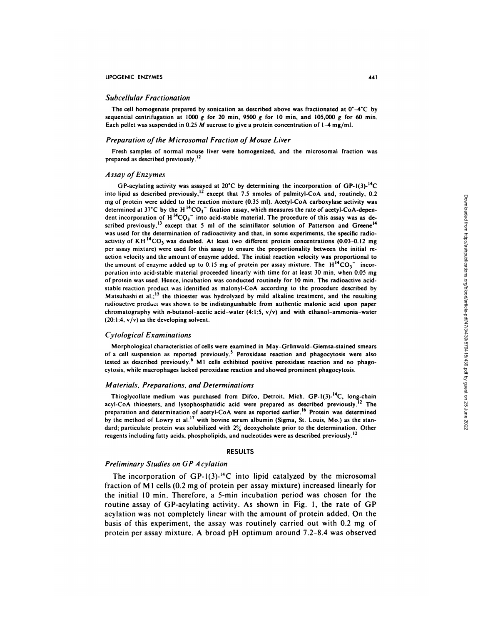### LIPOGENIC ENZYMES 441

#### Subcellular Fractionation

The cell homogenate prepared by sonication as described above was fractionated at  $0^{\circ}-4^{\circ}C$  by sequential centrifugation at 1000  $g$  for 20 min, 9500  $g$  for 10 min, and 105,000  $g$  for 60 min. Each pellet was suspended in 0.25 *M* sucrose to give a protein concentration of 1-4 mg/ml.

### Preparation of the Microsomal Fraction of Mouse Liver

Fresh samples of normal mouse liver were homogenized, and the microsomal fraction was prepared as described previously.<sup>12</sup>

### Assay of Enzymes

GP-acylating activity was assayed at 20°C by determining the incorporation of GP-1(3)- $^{14}C$ into lipid as described previously,<sup>12</sup> except that 7.5 nmoles of palmityl-CoA and, routinely, 0.2 mg of protein were added to the reaction mixture (0.35 ml). Acetyl-CoA carboxylase activity was determined at 37°C by the H<sup>14</sup>CO<sub>3</sub><sup>-</sup> fixation assay, which measures the rate of acetyl-CoA-dependent incorporation of  $H^{14}CO_3^-$  into acid-stable material. The procedure of this assay was as described previously,<sup>13</sup> except that 5 ml of the scintillator solution of Patterson and Greene<sup>14</sup> was used for the determination of radioactivity and that, in some experiments, the specific radio activity of  $KH^{14}CO_3$  was doubled. At least two different protein concentrations (0.03-0.12 mg per assay mixture) were used for this assay to ensure the proportionality between the initial re action velocity and the amount of enzyme added. The initial reaction velocity was proportional to the amount of enzyme added up to 0.15 mg of protein per assay mixture. The  $H^{14}CO_3^-$  incorporation into acid-stable material proceeded linearly with time for at least 30 min, when 0.05 mg of protein was used. Hence, incubation was conducted routinely for 10 mm. The radioactive acid stable reaction product was identified as malonyl-CoA according to the procedure described by Matsuhashi et al.;<sup>15</sup> the thioester was hydrolyzed by mild alkaline treatment, and the resulting radioactive product was shown to be indistinguishable from authentic malonic acid upon paper chromatography with *n*-butanol-acetic acid-water  $(4:1:5, v/v)$  and with ethanol-ammonia-water  $(20:1:4, v/v)$  as the developing solvent.

#### Cytological Examinations

Morphological characteristics of cells were examined in May-Grünwald-Giemsa-stained smears of a cell suspension as reported previously.<sup>5</sup> Peroxidase reaction and phagocytosis were also tested as described previously.<sup>6</sup> M1 cells exhibited positive peroxidase reaction and no phagocytosis, while macrophages lacked peroxidase reaction and showed prominent phagocytosis.

### *Materials.* Preparations. and Determinations

Thioglycollate medium was purchased from Difco, Detroit, Mich.  $GP-1(3)-^{14}C$ , long-chain acyl-CoA thioesters, and lysophosphatidic acid were prepared as described previously.<sup>12</sup> The preparation and determination of acetyl-CoA were as reported earlier.<sup>16</sup> Protein was determined by the method of Lowry et al.<sup>17</sup> with bovine serum albumin (Sigma, St. Louis, Mo.) as the standard; particulate protein was solubilized with 2% deoxycholate prior to the determination. Other reagents including fatty acids, phospholipids, and nucleotides were as described previously.<sup>12</sup>

#### RESULTS

### Preliminary Studies on GP A cylation

The incorporation of  $GP-1(3)$ -<sup>14</sup>C into lipid catalyzed by the microsomal fraction of M 1 cells (0.2 mg of protein per assay mixture) increased linearly for the initial 10 min. Therefore, a 5-min incubation period was chosen for the routine assay of GP-acylating activity. As shown in Fig. 1, the rate of GP acylation was not completely linear with the amount of protein added. On the basis of this experiment, the assay was routinely carried out with 0.2 mg of protein per assay mixture. A broad pH optimum around 7.2-8.4 was observed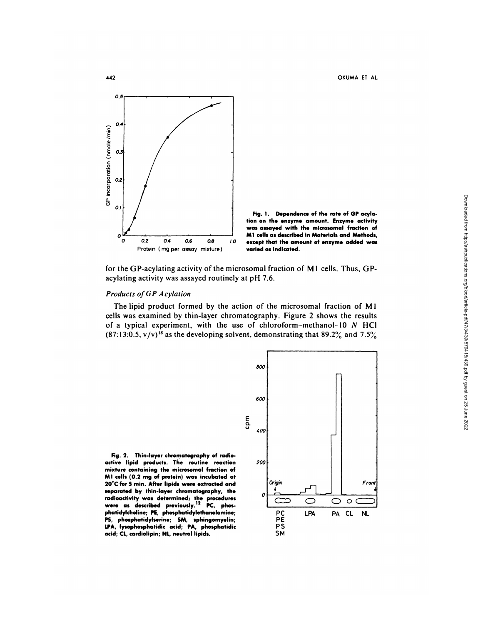**442** OKUMA ET AL.



Fig. **1** . **Dependence of the rate of GP acylation on the enzyme amount. Enzyme activity was assayed with** the microsomal fraction of **Ml cells as** described in Materials **and Methods, except that the amount of enzyme added was varied as indicated.**

for the GP-acylating activity of the microsomal fraction of M1 cells. Thus, GPacylating activity was assayed routinely at pH 7.6.

# Products of GP Acylation

The lipid product formed by the action of the microsomal fraction of M1 cells was examined by thin-layer chromatography. Figure 2 shows the results of a typical experiment, with the use of chloroform-methanol-10 *N* HCl  $(87:13:0.5, v/v)^{18}$  as the developing solvent, demonstrating that 89.2% and 7.5%

Fig. **2. Thin-layer chromatography of** radioactive lipid **products. The routine reaction mixture containing the microsomal fraction of Ml cells (0.2 mg of protein) was incubated at 20'C** for **5** mm. After lipids **were extracted and** separated **by thin-layer chromatography, the** radioactivity **was determined; the** procedures **were as** described **previously.'2 PC, phosphatidylcholine; PE, phosphatidylethanolamine; PS, phosphatidylserine; SM, sphingomyelin; LPA, lysophosphatidic acid; PA, phosphatidic acid; CL, cardiolipin; NL, neutral lipids.**

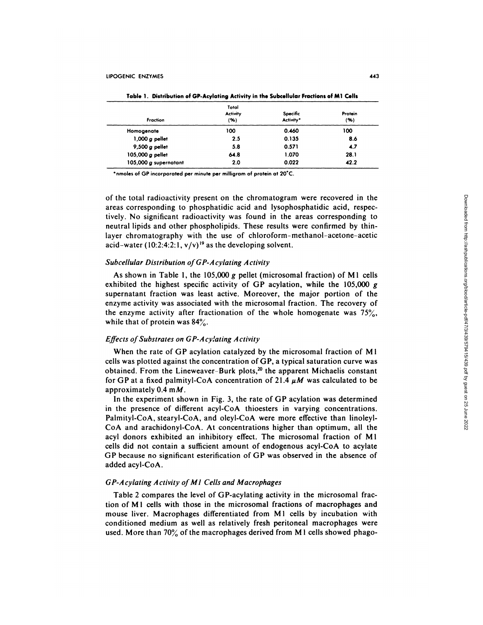**Table 1.Distribution of GP-Acylating Activity in the Subcellular Fractions of Ml Cells**

| Fraction              | Total<br><b>Activity</b><br>(96) | Specific<br>Activity* | Protein<br>(96) |
|-----------------------|----------------------------------|-----------------------|-----------------|
| Homogenate            | 100                              | 0.460                 | 100             |
| $1,000 g$ pellet      | 2.5                              | 0.135                 | 8.6             |
| 9,500 $q$ pellet      | 5.8                              | 0.571                 | 4.7             |
| 105,000 g pellet      | 64.8                             | 1.070                 | 28.1            |
| 105,000 g supernatant | 2.0                              | 0.022                 | 42.2            |

\*nmoles of GP incorporated per minute per milligram of protein at 20°C.

of the total radioactivity present on the chromatogram were recovered in the areas corresponding to phosphatidic acid and lysophosphatidic acid, respectively. No significant radioactivity was found in the areas corresponding to neutral lipids and other phospholipids. These results were confirmed by thinlayer chromatography with the use of chloroform-methanol-acetone-acetic acid-water (10:2:4:2:1,  $v/v$ )<sup>19</sup> as the developing solvent.

# Subcellular Distribution of GP-A cylating Activity

As shown in Table 1, the 105,000 g pellet (microsomal fraction) of Ml cells exhibited the highest specific activity of GP acylation, while the 105,000 g supernatant fraction was least active. Moreover, the major portion of the **enzyme** activity was associated with the microsomal fraction. The recovery of the enzyme activity after fractionation of the whole homogenate was  $75\%$ , while that of protein was  $84\%$ .

# Effects of Substrates on GP-Acylating Activity

When the rate of GP acylation catalyzed by the microsomal fraction of M 1 cells was plotted against the concentration ofGP, a typical saturation curve was obtained. From the Lineweaver-Burk plots,<sup>20</sup> the apparent Michaelis constant for GP at a fixed palmityl-CoA concentration of 21.4  $\mu$ M was calculated to be approximately 0.4 *mM.*

In the experiment shown in Fig. 3, the rate of GP acylation was determined in the presence of different acyl-CoA thioesters in varying concentrations. **Palmityl-CoA,** stearyl-CoA, and oleyl-CoA were more effective than linoleyl-CoA and arachidonyl-CoA. At concentrations higher than optimum, all the acyl donors exhibited an inhibitory effect. The microsomal fraction of Ml **cells** did not contain a sufficient amount of endogenous acyl-CoA to acylate GP because no significant esterification of GP was observed in the absence of added acyl-CoA.

## GP-Acylating Activity of M1 Cells and Macrophages

Table 2 compares the level of GP-acylating activity in the microsomal fraction of M<sub>1</sub> cells with those in the microsomal fractions of macrophages and mouse liver. Macrophages differentiated from M1 cells by incubation with conditioned medium as well as relatively fresh peritoneal macrophages were used. More than 70% of the macrophages derived from M1 cells showed phago-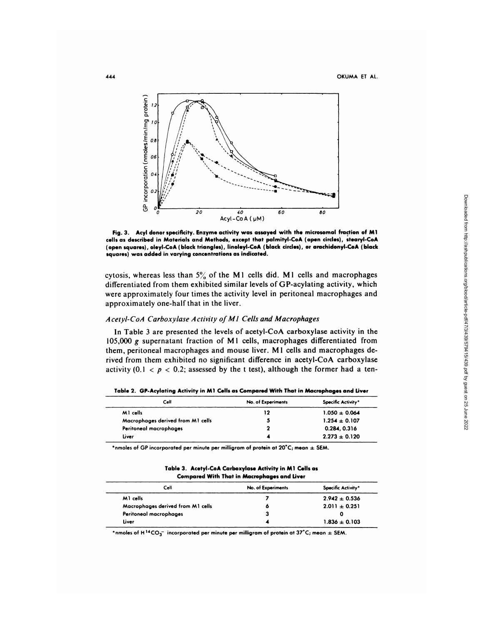

**Fig. 3. Acyl donor specificity. Enzyme activity was assayed with the microsomal fraction of Ml cells as** described **in Materials and Methods, except that palmityl-CoA (open circles), stearyl-CoA** (open **squares), oleyl-CoA (black triangles), linoleyl-CoA (black circles), or arachidonyl-CoA (black** squares) was added in varying concentrations **as indicated.**

cytosis, whereas less than  $5\%$  of the M<sub>1</sub> cells did. M<sub>1</sub> cells and macrophages differentiated from them exhibited similar levels of GP-acylating activity, which were approximately four times the activity level in peritoneal macrophages and approximately one-half that in the liver.

# Acetyl-CoA Carboxylase Activity of M1 Cells and Macrophages

In Table 3 are presented the levels of acetyl-CoA carboxylase activity in the 105,000 *g* supernatant fraction of M 1 cells, macrophages differentiated from **them,** peritoneal macrophages and mouse liver. M 1 cells and macrophages derived from them exhibited no significant difference in acetyl-CoA carboxylase activity (0.1  $\lt p \lt 0.2$ ; assessed by the t test), although the former had a ten-

| Cell                              | No. of Experiments | Specific Activity* |
|-----------------------------------|--------------------|--------------------|
| MI cells                          | 12                 | $1.050 \pm 0.064$  |
| Macrophages derived from M1 cells |                    | $1.254 \pm 0.107$  |
| Peritoneal macrophages            |                    | 0.284, 0.316       |
| Liver                             |                    | $2.273 \pm 0.120$  |

**Table 2. GP-Acylating Activity in Ml Cells as Compared With That in Macrophages and Liver**

 $*$ nmoles of GP incorporated per minute per milligram of protein at  $20^{\circ}$ C; mean  $\pm$  SEM.

#### **Table 3.Acetyl-CoA Carboxylase Activity in Ml Cells as Compared With That in** Macrophages and Liver

| Cell                              | No. of Experiments | Specific Activity* |
|-----------------------------------|--------------------|--------------------|
| M1 cells                          |                    | $2.942 \pm 0.536$  |
| Macrophages derived from M1 cells | ٥                  | $2.011 \pm 0.251$  |
| Peritoneal macrophages            | з                  |                    |
| Liver                             |                    | $1.836 \pm 0.103$  |

\*nmoles of H<sup>14</sup>CO<sub>3</sub><sup>-</sup> incorporated per minute per milligram of protein at 37°C; mean  $\pm$  SEM.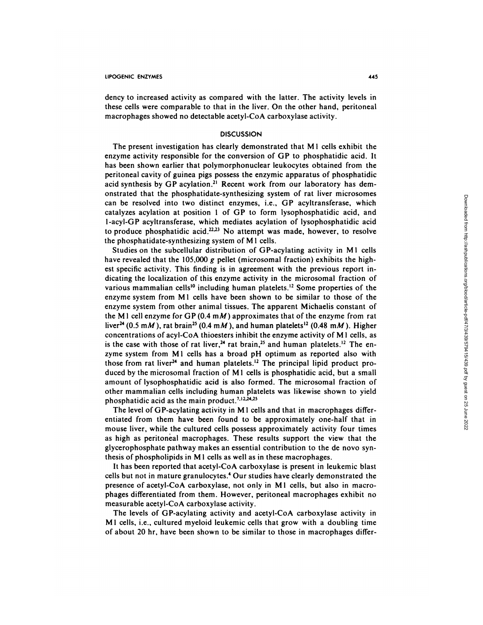dency to increased activity as compared with the latter. The activity levels in **these** cells were comparable to that in the liver. On the other hand, peritoneal macrophages showed no detectable acetyl-CoA carboxylase activity.

# **DISCUSSION**

The present investigation has clearly demonstrated that M1 cells exhibit the enzyme activity responsible for the conversion of OP to phosphatidic acid. It has been shown earlier that polymorphonuclear leukocytes obtained from the peritoneal cavity of guinea pigs possess the enzymic apparatus of phosphatidic acid synthesis by GP acylation.<sup>21</sup> Recent work from our laboratory has dem**onstrated** that the phosphatidate-synthesizing system of rat liver microsomes can be resolved into two distinct enzymes, i.e., OP acyltransferase, which catalyzes acylation at position I of OP to form lysophosphatidic acid, and 1-acyl-OP acyltransferase, which mediates acylation of lysophosphatidic acid to produce phosphatidic acid.<sup>22,23</sup> No attempt was made, however, to resolve the phosphatidate-synthesizing system of M 1 cells.

Studies on the subcellular distribution of GP-acylating activity in M<sub>1</sub> cells have revealed that the 105,000 *g* **pellet** (microsomal fraction) exhibits the highest specific activity. This finding is in agreement with the previous report indicating the localization of this enzyme activity in the microsomal fraction of various mammalian cells<sup>10</sup> including human platelets.<sup>12</sup> Some properties of the enzyme system from M1 cells have been shown to be similar to those of the enzyme system from other animal tissues. The apparent Michaelis constant of the M<sub>1</sub> cell enzyme for GP (0.4  $m$ *M*) approximates that of the enzyme from rat liver<sup>24</sup> (0.5 mM), rat brain<sup>25</sup> (0.4 mM), and human platelets<sup>12</sup> (0.48 mM). Higher concentrations of acyl-CoA thioesters inhibit the enzyme activity of M 1 cells, as is the case with those of rat liver,<sup>24</sup> rat brain,<sup>25</sup> and human platelets.<sup>12</sup> The enzyme system from M1 cells has a broad pH optimum as reported also with those from rat liver<sup>24</sup> and human platelets.<sup>12</sup> The principal lipid product produced by the microsomal fraction of M1 cells is phosphatidic acid, but a small amount of lysophosphatidic acid is also formed. The microsomal fraction of other mammalian cells including human platelets was likewise shown to yield phosphatidic acid as the main product.<sup>7,12,24,25</sup>

The level of GP-acylating activity in M<sub>1</sub> cells and that in macrophages differentiated from them have been found to be approximately one-half that in mouse liver, while the cultured cells possess approximately activity four times as high as peritoneal macrophages. These results support the view that the glycerophosphate pathway makes an essential contribution to the de novo synthesis of phospholipids in M 1 cells as well as in these macrophages.

It has been reported that acetyl-CoA carboxylase is present in leukemic blast cells but not in mature granulocytes.4 Our studies have clearly demonstrated the presence of acetyl-CoA carboxylase, not only in Ml cells, but also in macro phages differentiated from them. However, peritoneal macrophages exhibit no measurable acetyl-CoA carboxylase activity.

The levels of OP-acylating activity and acetyl-CoA carboxylase activity in Ml cells, i.e., cultured myeloid leukemic cells that grow with a doubling time of about 20 hr, have been shown to be similar to those in macrophages differ